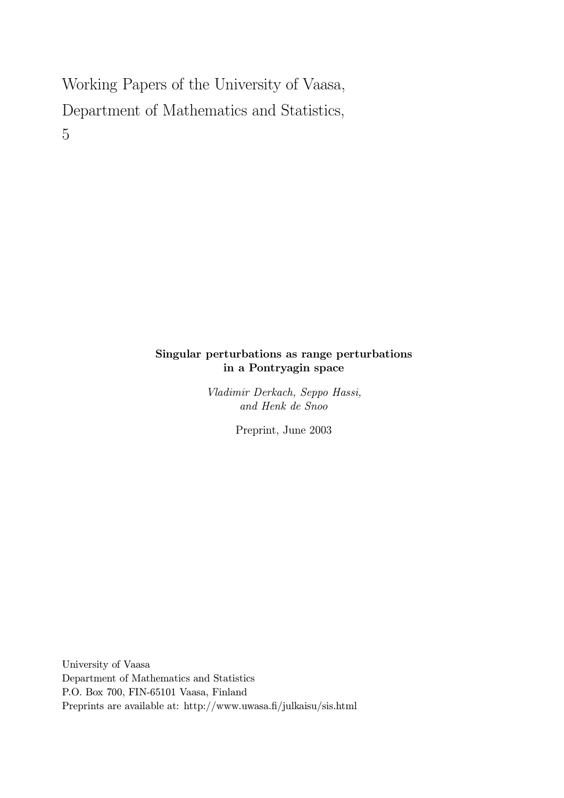# Working Papers of the University of Vaasa, Department of Mathematics and Statistics, 5

## Singular perturbations as range perturbations in a Pontryagin space

Vladimir Derkach, Seppo Hassi, and Henk de Snoo

Preprint, June 2003

University of Vaasa Department of Mathematics and Statistics P.O. Box 700, FIN-65101 Vaasa, Finland Preprints are available at: http://www.uwasa.fi/julkaisu/sis.html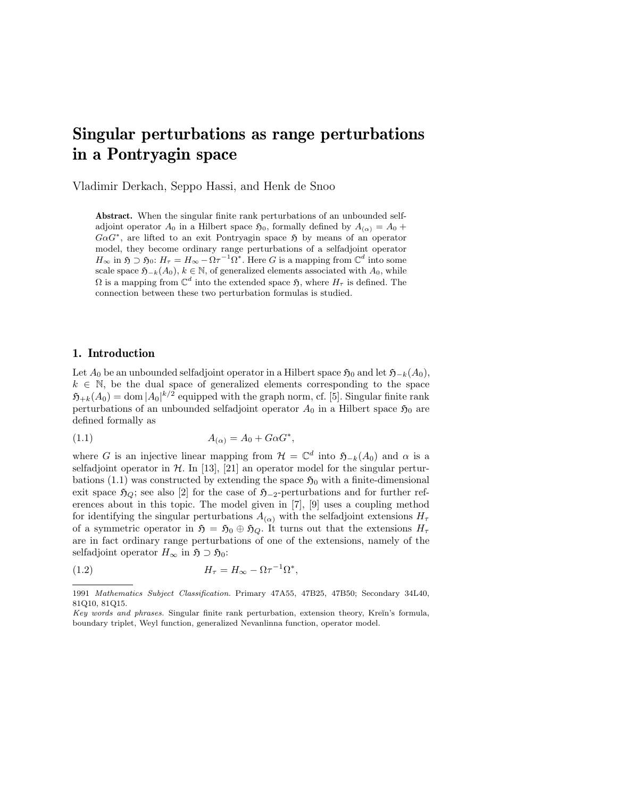# Singular perturbations as range perturbations in a Pontryagin space

Vladimir Derkach, Seppo Hassi, and Henk de Snoo

Abstract. When the singular finite rank perturbations of an unbounded selfadjoint operator  $A_0$  in a Hilbert space  $\mathfrak{H}_0$ , formally defined by  $A_{(\alpha)} = A_0 +$  $G \alpha G^*$ , are lifted to an exit Pontryagin space  $\mathfrak H$  by means of an operator model, they become ordinary range perturbations of a selfadjoint operator  $H_{\infty}$  in  $\mathfrak{H} \supset \mathfrak{H}_0$ :  $H_{\tau} = H_{\infty} - \Omega \tau^{-1} \Omega^*$ . Here G is a mapping from  $\mathbb{C}^d$  into some scale space  $\mathfrak{H}_{-k}(A_0), k \in \mathbb{N}$ , of generalized elements associated with  $A_0$ , while  $\Omega$  is a mapping from  $\mathbb{C}^d$  into the extended space  $\mathfrak{H}$ , where  $H_{\tau}$  is defined. The connection between these two perturbation formulas is studied.

#### 1. Introduction

Let  $A_0$  be an unbounded selfadjoint operator in a Hilbert space  $\mathfrak{H}_0$  and let  $\mathfrak{H}_{-k}(A_0)$ ,  $k \in \mathbb{N}$ , be the dual space of generalized elements corresponding to the space  $\mathfrak{H}_{+k}(A_0) = \text{dom} |A_0|^{k/2}$  equipped with the graph norm, cf. [5]. Singular finite rank perturbations of an unbounded selfadjoint operator  $A_0$  in a Hilbert space  $\mathfrak{H}_0$  are defined formally as

$$
(1.1) \t\t A_{(\alpha)} = A_0 + G\alpha G^*,
$$

where G is an injective linear mapping from  $\mathcal{H} = \mathbb{C}^d$  into  $\mathfrak{H}_{-k}(A_0)$  and  $\alpha$  is a selfadjoint operator in  $H$ . In [13], [21] an operator model for the singular perturbations (1.1) was constructed by extending the space  $\mathfrak{H}_0$  with a finite-dimensional exit space  $\mathfrak{H}_Q$ ; see also [2] for the case of  $\mathfrak{H}_{-2}$ -perturbations and for further references about in this topic. The model given in [7], [9] uses a coupling method for identifying the singular perturbations  $A_{(\alpha)}$  with the selfadjoint extensions  $H_{\tau}$ of a symmetric operator in  $\mathfrak{H} = \mathfrak{H}_0 \oplus \mathfrak{H}_Q$ . It turns out that the extensions  $H_{\tau}$ are in fact ordinary range perturbations of one of the extensions, namely of the selfadjoint operator  $H_{\infty}$  in  $\mathfrak{H} \supset \mathfrak{H}_0$ :

(1.2) 
$$
H_{\tau} = H_{\infty} - \Omega \tau^{-1} \Omega^*,
$$

<sup>1991</sup> Mathematics Subject Classification. Primary 47A55, 47B25, 47B50; Secondary 34L40, 81Q10, 81Q15.

Key words and phrases. Singular finite rank perturbation, extension theory, Kreĭn's formula, boundary triplet, Weyl function, generalized Nevanlinna function, operator model.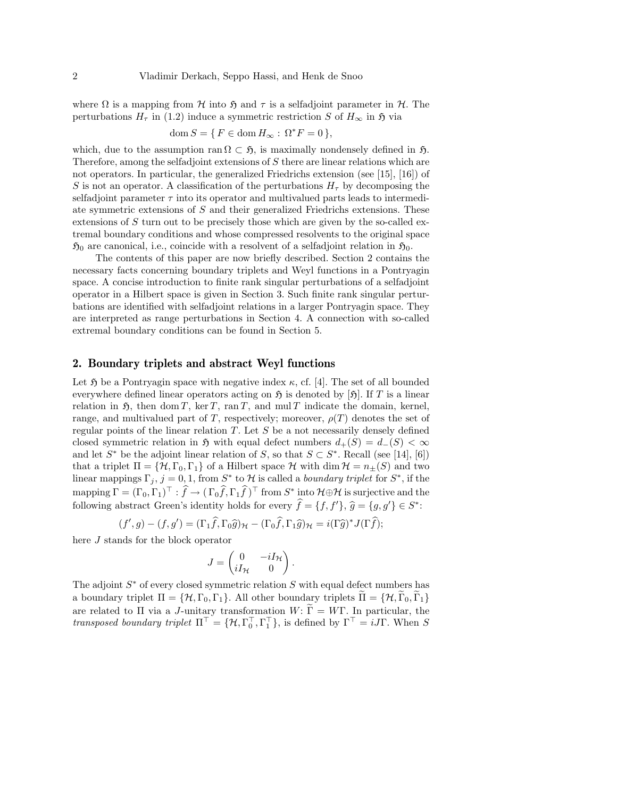where  $\Omega$  is a mapping from  $\mathcal H$  into  $\mathfrak H$  and  $\tau$  is a selfadjoint parameter in  $\mathcal H$ . The perturbations  $H_{\tau}$  in (1.2) induce a symmetric restriction S of  $H_{\infty}$  in  $\mathfrak{H}$  via

$$
\operatorname{dom} S = \{ F \in \operatorname{dom} H_{\infty} : \Omega^* F = 0 \},
$$

which, due to the assumption ran  $\Omega \subset \mathfrak{H}$ , is maximally nondensely defined in  $\mathfrak{H}$ . Therefore, among the selfadjoint extensions of S there are linear relations which are not operators. In particular, the generalized Friedrichs extension (see [15], [16]) of S is not an operator. A classification of the perturbations  $H_{\tau}$  by decomposing the selfadjoint parameter  $\tau$  into its operator and multivalued parts leads to intermediate symmetric extensions of S and their generalized Friedrichs extensions. These extensions of S turn out to be precisely those which are given by the so-called extremal boundary conditions and whose compressed resolvents to the original space  $\mathfrak{H}_0$  are canonical, i.e., coincide with a resolvent of a selfadjoint relation in  $\mathfrak{H}_0$ .

The contents of this paper are now briefly described. Section 2 contains the necessary facts concerning boundary triplets and Weyl functions in a Pontryagin space. A concise introduction to finite rank singular perturbations of a selfadjoint operator in a Hilbert space is given in Section 3. Such finite rank singular perturbations are identified with selfadjoint relations in a larger Pontryagin space. They are interpreted as range perturbations in Section 4. A connection with so-called extremal boundary conditions can be found in Section 5.

#### 2. Boundary triplets and abstract Weyl functions

Let  $\mathfrak H$  be a Pontryagin space with negative index  $\kappa$ , cf. [4]. The set of all bounded everywhere defined linear operators acting on  $\mathfrak{H}$  is denoted by [ $\mathfrak{H}$ ]. If T is a linear relation in  $\mathfrak{H}$ , then dom T, ker T, ran T, and mul T indicate the domain, kernel, range, and multivalued part of T, respectively; moreover,  $\rho(T)$  denotes the set of regular points of the linear relation  $T$ . Let  $S$  be a not necessarily densely defined closed symmetric relation in  $\mathfrak{H}$  with equal defect numbers  $d_+(S) = d_-(S) < \infty$ and let  $S^*$  be the adjoint linear relation of S, so that  $S \subset S^*$ . Recall (see [14], [6]) that a triplet  $\Pi = \{H, \Gamma_0, \Gamma_1\}$  of a Hilbert space H with dim  $\mathcal{H} = n_{\pm}(S)$  and two linear mappings  $\Gamma_j$ ,  $j=0,1$ , from  $S^*$  to  $\mathcal H$  is called a *boundary triplet* for  $S^*$ , if the mapping  $\Gamma = (\Gamma_0, \Gamma_1)^{\top} : \hat{f} \to (\Gamma_0 \hat{f}, \Gamma_1 \hat{f})^{\top}$  from  $S^*$  into  $\mathcal{H} \oplus \mathcal{H}$  is surjective and the following abstract Green's identity holds for every  $\widehat{f} = \{f, f'\}, \widehat{g} = \{g, g'\} \in S^*$ :

$$
(f', g) - (f, g') = (\Gamma_1 \hat{f}, \Gamma_0 \hat{g})_{\mathcal{H}} - (\Gamma_0 \hat{f}, \Gamma_1 \hat{g})_{\mathcal{H}} = i(\Gamma \hat{g})^* J(\Gamma \hat{f});
$$

here J stands for the block operator

$$
J = \begin{pmatrix} 0 & -iI_{\mathcal{H}} \\ iI_{\mathcal{H}} & 0 \end{pmatrix}.
$$

The adjoint  $S^*$  of every closed symmetric relation S with equal defect numbers has a boundary triplet  $\Pi = \{H, \Gamma_0, \Gamma_1\}$ . All other boundary triplets  $\Pi = \{H, \Gamma_0, \Gamma_1\}$ are related to  $\Pi$  via a J-unitary transformation  $W: \widetilde{\Gamma} = W\Gamma$ . In particular, the transposed boundary triplet  $\Pi^{\top} = \{ \mathcal{H}, \Gamma_0^{\top}, \Gamma_1^{\top} \}$ , is defined by  $\Gamma^{\top} = iJ\Gamma$ . When S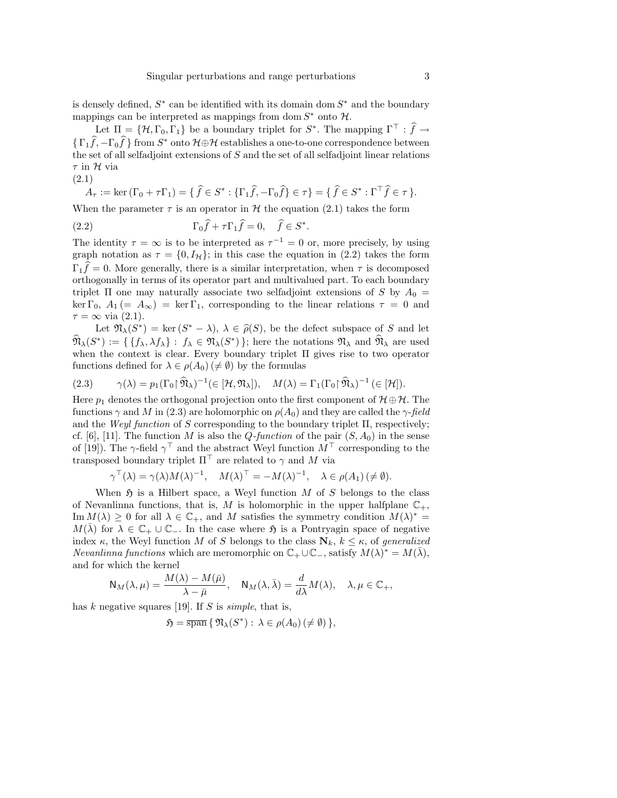is densely defined,  $S^*$  can be identified with its domain dom  $S^*$  and the boundary mappings can be interpreted as mappings from dom  $S^*$  onto  $\mathcal{H}$ .

Let  $\Pi = \{H, \Gamma_0, \Gamma_1\}$  be a boundary triplet for  $S^*$ . The mapping  $\Gamma^{\top} : \hat{f} \to$  $\{\Gamma_1\hat{f}, -\Gamma_0\hat{f}\}$  from  $S^*$  onto  $\mathcal{H}\oplus\mathcal{H}$  establishes a one-to-one correspondence between the set of all selfadjoint extensions of  $S$  and the set of all selfadjoint linear relations  $\tau$  in  $\mathcal H$  via

$$
(2.1)
$$

$$
A_{\tau} := \ker(\Gamma_0 + \tau \Gamma_1) = \{ \widehat{f} \in S^* : \{ \Gamma_1 \widehat{f}, -\Gamma_0 \widehat{f} \} \in \tau \} = \{ \widehat{f} \in S^* : \Gamma^{\top} \widehat{f} \in \tau \}.
$$

When the parameter  $\tau$  is an operator in H the equation (2.1) takes the form

(2.2) 
$$
\Gamma_0 \hat{f} + \tau \Gamma_1 \hat{f} = 0, \quad \hat{f} \in S^*.
$$

The identity  $\tau = \infty$  is to be interpreted as  $\tau^{-1} = 0$  or, more precisely, by using graph notation as  $\tau = \{0, I_H\}$ ; in this case the equation in (2.2) takes the form  $\Gamma_1 \hat{f} = 0$ . More generally, there is a similar interpretation, when  $\tau$  is decomposed orthogonally in terms of its operator part and multivalued part. To each boundary triplet  $\Pi$  one may naturally associate two selfadjoint extensions of S by  $A_0 =$ ker  $\Gamma_0$ ,  $A_1 (= A_{\infty}) = \ker \Gamma_1$ , corresponding to the linear relations  $\tau = 0$  and  $\tau = \infty$  via (2.1).

Let  $\mathfrak{N}_{\lambda}(S^*) = \ker (S^* - \lambda), \lambda \in \widehat{\rho}(S)$ , be the defect subspace of S and let  $\widehat{\mathfrak{N}}_{\lambda}(S^*) := \{ \{f_{\lambda}, \lambda f_{\lambda}\} : f_{\lambda} \in \mathfrak{N}_{\lambda}(S^*) \};$  here the notations  $\mathfrak{N}_{\lambda}$  and  $\widehat{\mathfrak{N}}_{\lambda}$  are used when the context is clear. Every boundary triplet Π gives rise to two operator functions defined for  $\lambda \in \rho(A_0) \neq \emptyset$  by the formulas

(2.3) 
$$
\gamma(\lambda) = p_1(\Gamma_0 \upharpoonright \widehat{\mathfrak{N}}_{\lambda})^{-1} (\in [\mathcal{H}, \mathfrak{N}_{\lambda}]), \quad M(\lambda) = \Gamma_1(\Gamma_0 \upharpoonright \widehat{\mathfrak{N}}_{\lambda})^{-1} (\in [\mathcal{H}]).
$$

Here  $p_1$  denotes the orthogonal projection onto the first component of  $\mathcal{H} \oplus \mathcal{H}$ . The functions  $\gamma$  and M in (2.3) are holomorphic on  $\rho(A_0)$  and they are called the  $\gamma$ -field and the Weyl function of S corresponding to the boundary triplet  $\Pi$ , respectively; cf. [6], [11]. The function M is also the  $Q$ -function of the pair  $(S, A_0)$  in the sense of [19]). The  $\gamma$ -field  $\gamma^{\top}$  and the abstract Weyl function  $M^{\top}$  corresponding to the transposed boundary triplet  $\Pi^{\top}$  are related to  $\gamma$  and M via

$$
\gamma^{\top}(\lambda) = \gamma(\lambda)M(\lambda)^{-1}, \quad M(\lambda)^{\top} = -M(\lambda)^{-1}, \quad \lambda \in \rho(A_1) \ (\neq \emptyset).
$$

When  $\mathfrak H$  is a Hilbert space, a Weyl function M of S belongs to the class of Nevanlinna functions, that is, M is holomorphic in the upper halfplane  $\mathbb{C}_+$ , Im  $M(\lambda) \geq 0$  for all  $\lambda \in \mathbb{C}_+$ , and M satisfies the symmetry condition  $M(\lambda)^* =$  $M(\lambda)$  for  $\lambda \in \mathbb{C}_+ \cup \mathbb{C}_-$ . In the case where  $\mathfrak{H}$  is a Pontryagin space of negative index  $\kappa$ , the Weyl function M of S belongs to the class  $\mathbf{N}_k$ ,  $k \leq \kappa$ , of generalized Nevanlinna functions which are meromorphic on  $\mathbb{C}_+ \cup \mathbb{C}_-$ , satisfy  $M(\lambda)^* = M(\overline{\lambda})$ , and for which the kernel

$$
\mathsf{N}_M(\lambda,\mu)=\frac{M(\lambda)-M(\bar\mu)}{\lambda-\bar\mu},\quad \mathsf{N}_M(\lambda,\bar\lambda)=\frac{d}{d\lambda}M(\lambda),\quad \lambda,\mu\in\mathbb{C}_+,
$$

has k negative squares [19]. If S is simple, that is,

$$
\mathfrak{H} = \overline{\operatorname{span}} \{ \mathfrak{N}_{\lambda}(S^*) : \lambda \in \rho(A_0) \, (\neq \emptyset) \},
$$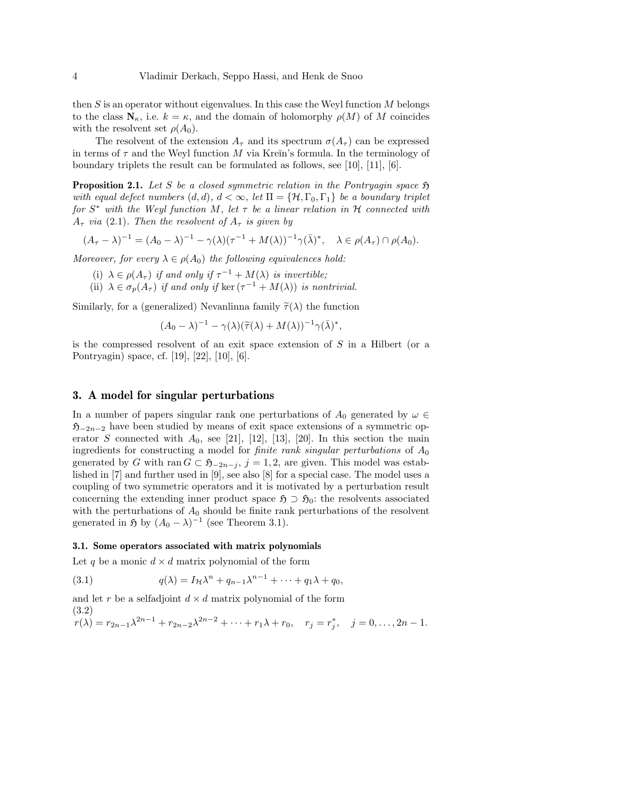then  $S$  is an operator without eigenvalues. In this case the Weyl function  $M$  belongs to the class  $\mathbf{N}_{\kappa}$ , i.e.  $k = \kappa$ , and the domain of holomorphy  $\rho(M)$  of M coincides with the resolvent set  $\rho(A_0)$ .

The resolvent of the extension  $A_{\tau}$  and its spectrum  $\sigma(A_{\tau})$  can be expressed in terms of  $\tau$  and the Weyl function M via Kreĭn's formula. In the terminology of boundary triplets the result can be formulated as follows, see [10], [11], [6].

**Proposition 2.1.** Let S be a closed symmetric relation in the Pontryagin space  $\mathfrak{H}$ with equal defect numbers  $(d, d)$ ,  $d < \infty$ , let  $\Pi = \{H, \Gamma_0, \Gamma_1\}$  be a boundary triplet for  $S^*$  with the Weyl function M, let  $\tau$  be a linear relation in H connected with  $A_{\tau}$  via (2.1). Then the resolvent of  $A_{\tau}$  is given by

$$
(A_{\tau} - \lambda)^{-1} = (A_0 - \lambda)^{-1} - \gamma(\lambda)(\tau^{-1} + M(\lambda))^{-1}\gamma(\bar{\lambda})^*, \quad \lambda \in \rho(A_{\tau}) \cap \rho(A_0).
$$

Moreover, for every  $\lambda \in \rho(A_0)$  the following equivalences hold:

- (i)  $\lambda \in \rho(A_{\tau})$  if and only if  $\tau^{-1} + M(\lambda)$  is invertible;
- (ii)  $\lambda \in \sigma_p(A_\tau)$  if and only if ker  $(\tau^{-1} + M(\lambda))$  is nontrivial.

Similarly, for a (generalized) Nevanlinna family  $\tilde{\tau}(\lambda)$  the function

$$
(A_0 - \lambda)^{-1} - \gamma(\lambda)(\widetilde{\tau}(\lambda) + M(\lambda))^{-1} \gamma(\overline{\lambda})^*,
$$

is the compressed resolvent of an exit space extension of S in a Hilbert (or a Pontryagin) space, cf. [19], [22], [10], [6].

#### 3. A model for singular perturbations

In a number of papers singular rank one perturbations of  $A_0$  generated by  $\omega \in$  $\mathfrak{H}_{-2n-2}$  have been studied by means of exit space extensions of a symmetric operator S connected with  $A_0$ , see [21], [12], [13], [20]. In this section the main ingredients for constructing a model for *finite rank singular perturbations* of  $A_0$ generated by G with ran  $G \subset \mathfrak{H}_{-2n-j}$ ,  $j = 1, 2$ , are given. This model was established in [7] and further used in [9], see also [8] for a special case. The model uses a coupling of two symmetric operators and it is motivated by a perturbation result concerning the extending inner product space  $\mathfrak{H} \supset \mathfrak{H}_0$ : the resolvents associated with the perturbations of  $A_0$  should be finite rank perturbations of the resolvent generated in  $\mathfrak{H}$  by  $(A_0 - \lambda)^{-1}$  (see Theorem 3.1).

#### 3.1. Some operators associated with matrix polynomials

Let q be a monic  $d \times d$  matrix polynomial of the form

(3.1) 
$$
q(\lambda) = I_{\mathcal{H}} \lambda^n + q_{n-1} \lambda^{n-1} + \cdots + q_1 \lambda + q_0,
$$

and let r be a selfadjoint  $d \times d$  matrix polynomial of the form (3.2)  $r(\lambda) = r_{2n-1}\lambda^{2n-1} + r_{2n-2}\lambda^{2n-2} + \cdots + r_1\lambda + r_0, \quad r_j = r_j^*$  $j^*$ ,  $j = 0, \ldots, 2n - 1$ .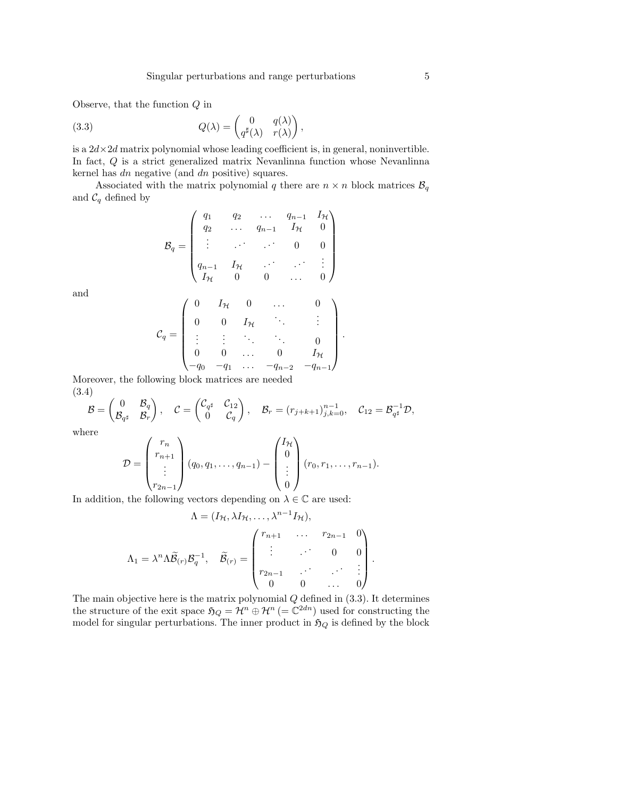Observe, that the function  $Q$  in

(3.3) 
$$
Q(\lambda) = \begin{pmatrix} 0 & q(\lambda) \\ q^{\sharp}(\lambda) & r(\lambda) \end{pmatrix},
$$

is a  $2d \times 2d$  matrix polynomial whose leading coefficient is, in general, noninvertible. In fact, Q is a strict generalized matrix Nevanlinna function whose Nevanlinna kernel has dn negative (and dn positive) squares.

Associated with the matrix polynomial q there are  $n \times n$  block matrices  $\mathcal{B}_q$ and  $\mathcal{C}_q$  defined by

$$
\mathcal{B}_q = \begin{pmatrix} q_1 & q_2 & \dots & q_{n-1} & I_{\mathcal{H}} \\ q_2 & \dots & q_{n-1} & I_{\mathcal{H}} & 0 \\ \vdots & \vdots & \ddots & 0 & 0 \\ q_{n-1} & I_{\mathcal{H}} & \dots & \vdots & \vdots \\ I_{\mathcal{H}} & 0 & 0 & \dots & 0 \end{pmatrix}
$$

and

$$
\mathcal{C}_q = \begin{pmatrix} 0 & I_{\mathcal{H}} & 0 & \dots & 0 \\ 0 & 0 & I_{\mathcal{H}} & & \vdots \\ \vdots & \vdots & \ddots & \ddots & 0 \\ 0 & 0 & \dots & 0 & I_{\mathcal{H}} \\ -q_0 & -q_1 & \dots & -q_{n-2} & -q_{n-1} \end{pmatrix}.
$$

Moreover, the following block matrices are needed (3.4)

$$
\mathcal{B} = \begin{pmatrix} 0 & \mathcal{B}_q \\ \mathcal{B}_{q^\sharp} & \mathcal{B}_r \end{pmatrix}, \quad \mathcal{C} = \begin{pmatrix} \mathcal{C}_{q^\sharp} & \mathcal{C}_{12} \\ 0 & \mathcal{C}_q \end{pmatrix}, \quad \mathcal{B}_r = (r_{j+k+1})_{j,k=0}^{n-1}, \quad \mathcal{C}_{12} = \mathcal{B}_{q^\sharp}^{-1} \mathcal{D},
$$

where

$$
\mathcal{D} = \begin{pmatrix} r_n \\ r_{n+1} \\ \vdots \\ r_{2n-1} \end{pmatrix} (q_0, q_1, \dots, q_{n-1}) - \begin{pmatrix} I_{\mathcal{H}} \\ 0 \\ \vdots \\ 0 \end{pmatrix} (r_0, r_1, \dots, r_{n-1}).
$$

In addition, the following vectors depending on  $\lambda \in \mathbb{C}$  are used:

$$
\Lambda = (I_{\mathcal{H}}, \lambda I_{\mathcal{H}}, \dots, \lambda^{n-1} I_{\mathcal{H}}),
$$

$$
\Lambda_1 = \lambda^n \Lambda \widetilde{\mathcal{B}}_{(r)} \mathcal{B}_q^{-1}, \quad \widetilde{\mathcal{B}}_{(r)} = \begin{pmatrix} r_{n+1} & \cdots & r_{2n-1} & 0 \\ \vdots & \cdots & 0 & 0 \\ r_{2n-1} & \cdots & \cdots & \vdots \\ 0 & 0 & \cdots & 0 \end{pmatrix}.
$$

The main objective here is the matrix polynomial  $Q$  defined in  $(3.3)$ . It determines the structure of the exit space  $\mathfrak{H}_Q = \mathcal{H}^n \oplus \mathcal{H}^n (= \mathbb{C}^{2dn})$  used for constructing the model for singular perturbations. The inner product in  $\mathfrak{H}_Q$  is defined by the block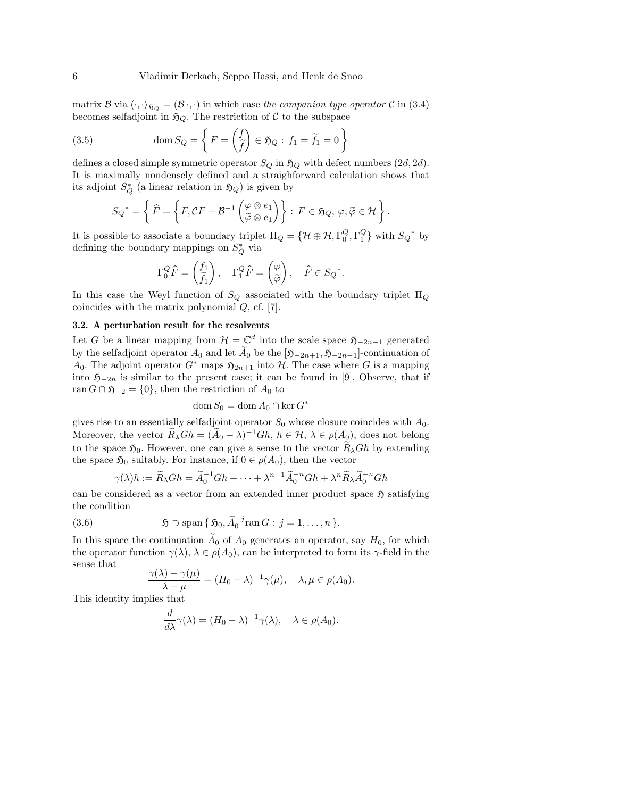matrix B via  $\langle \cdot, \cdot \rangle_{\mathfrak{H}_Q} = (\mathcal{B} \cdot, \cdot)$  in which case the companion type operator C in (3.4) becomes selfadjoint in  $\mathfrak{H}_Q$ . The restriction of C to the subspace

(3.5) 
$$
\text{dom } S_Q = \left\{ F = \begin{pmatrix} f \\ \tilde{f} \end{pmatrix} \in \mathfrak{H}_Q : f_1 = \tilde{f}_1 = 0 \right\}
$$

defines a closed simple symmetric operator  $S_Q$  in  $\mathfrak{H}_Q$  with defect numbers  $(2d, 2d)$ . It is maximally nondensely defined and a straighforward calculation shows that its adjoint  $S_Q^*$  (a linear relation in  $\mathfrak{H}_Q$ ) is given by

$$
{S_Q}^* = \left\{ \widehat{F} = \left\{ F, CF + \mathcal{B}^{-1} \left( \begin{matrix} \varphi \otimes e_1 \\ \widetilde{\varphi} \otimes e_1 \end{matrix} \right) \right\} : \ F \in \mathfrak{H}_Q, \ \varphi, \widetilde{\varphi} \in \mathcal{H} \right\}.
$$

It is possible to associate a boundary triplet  $\Pi_Q = \{ \mathcal{H} \oplus \mathcal{H}, \Gamma_0^Q, \Gamma_1^Q \}$  with  $S_Q^*$  by defining the boundary mappings on  $S^*_{Q}$  via

$$
\Gamma_0^Q \widehat{F} = \begin{pmatrix} f_1 \\ \widetilde{f}_1 \end{pmatrix}, \quad \Gamma_1^Q \widehat{F} = \begin{pmatrix} \varphi \\ \widetilde{\varphi} \end{pmatrix}, \quad \widehat{F} \in S_Q^*.
$$

In this case the Weyl function of  $S_Q$  associated with the boundary triplet  $\Pi_Q$ coincides with the matrix polynomial Q, cf. [7].

#### 3.2. A perturbation result for the resolvents

Let G be a linear mapping from  $\mathcal{H} = \mathbb{C}^d$  into the scale space  $\mathfrak{H}_{-2n-1}$  generated by the selfadjoint operator  $A_0$  and let  $\widetilde{A}_0$  be the  $[\mathfrak{H}_{-2n+1}, \mathfrak{H}_{-2n-1}]$ -continuation of A<sub>0</sub>. The adjoint operator  $G^*$  maps  $\mathfrak{H}_{2n+1}$  into H. The case where G is a mapping into  $\mathfrak{H}_{-2n}$  is similar to the present case; it can be found in [9]. Observe, that if ran  $G \cap \mathfrak{H}_{-2} = \{0\}$ , then the restriction of  $A_0$  to

$$
\mathrm{dom}\, S_0 = \mathrm{dom}\, A_0 \cap \ker G^*
$$

gives rise to an essentially selfadjoint operator  $S_0$  whose closure coincides with  $A_0$ . Moreover, the vector  $\widetilde{R}_{\lambda} Gh = (\widetilde{A}_0 - \lambda)^{-1} Gh, h \in \mathcal{H}, \lambda \in \rho(A_0)$ , does not belong to the space  $\mathfrak{H}_0$ . However, one can give a sense to the vector  $\widetilde{R}_{\lambda}Gh$  by extending the space  $\mathfrak{H}_0$  suitably. For instance, if  $0 \in \rho(A_0)$ , then the vector

$$
\gamma(\lambda)h := \widetilde{R}_{\lambda} Gh = \widetilde{A}_0^{-1} Gh + \dots + \lambda^{n-1} \widetilde{A}_0^{-n} Gh + \lambda^n \widetilde{R}_{\lambda} \widetilde{A}_0^{-n} Gh
$$

can be considered as a vector from an extended inner product space  $\mathfrak{H}$  satisfying the condition

(3.6) 
$$
\qquad \qquad \mathfrak{H} \supset \mathrm{span} \{ \mathfrak{H}_0, \widetilde{A}_0^{-j} \mathrm{ran} \, G : j = 1, \ldots, n \}.
$$

In this space the continuation  $A_0$  of  $A_0$  generates an operator, say  $H_0$ , for which the operator function  $\gamma(\lambda)$ ,  $\lambda \in \rho(A_0)$ , can be interpreted to form its  $\gamma$ -field in the sense that

$$
\frac{\gamma(\lambda) - \gamma(\mu)}{\lambda - \mu} = (H_0 - \lambda)^{-1} \gamma(\mu), \quad \lambda, \mu \in \rho(A_0).
$$

This identity implies that

$$
\frac{d}{d\lambda}\gamma(\lambda) = (H_0 - \lambda)^{-1}\gamma(\lambda), \quad \lambda \in \rho(A_0).
$$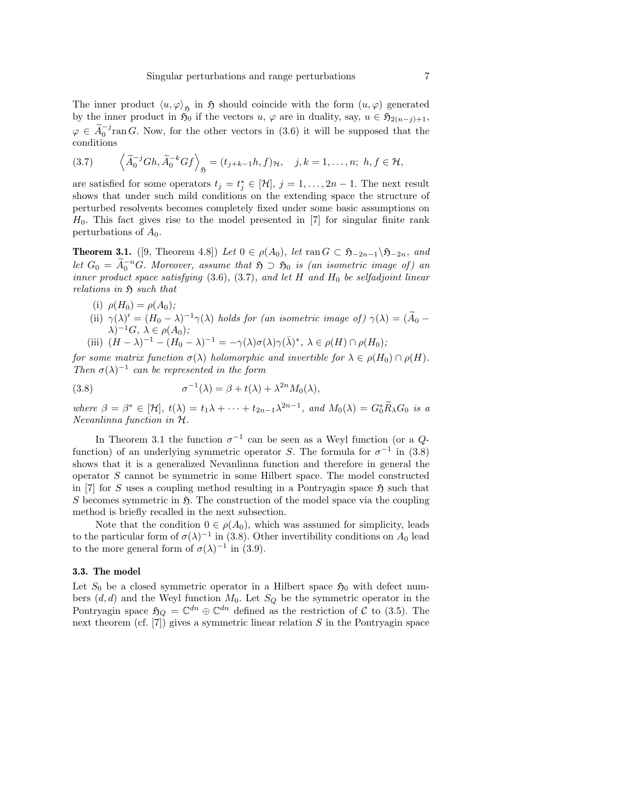The inner product  $\langle u, \varphi \rangle_{\mathfrak{H}}$  in  $\mathfrak{H}$  should coincide with the form  $(u, \varphi)$  generated by the inner product in  $\tilde{\mathfrak{H}}_0$  if the vectors  $u, \varphi$  are in duality, say,  $u \in \mathfrak{H}_{2(n-j)+1}$ ,  $\varphi \in \widetilde{A}_{0}^{-j}$  ran G. Now, for the other vectors in (3.6) it will be supposed that the conditions

(3.7) 
$$
\left\langle \widetilde{A}_0^{-j} Gh, \widetilde{A}_0^{-k} Gf \right\rangle_{\mathfrak{H}} = (t_{j+k-1}h, f)_{\mathcal{H}}, \quad j,k = 1,\ldots,n; \ h, f \in \mathcal{H},
$$

are satisfied for some operators  $t_j = t_j^* \in [\mathcal{H}], j = 1, \ldots, 2n-1$ . The next result shows that under such mild conditions on the extending space the structure of perturbed resolvents becomes completely fixed under some basic assumptions on  $H_0$ . This fact gives rise to the model presented in [7] for singular finite rank perturbations of  $A_0$ .

**Theorem 3.1.** ([9, Theorem 4.8]) Let  $0 \in \rho(A_0)$ , let ran  $G \subset \mathfrak{H}_{-2n-1}\backslash \mathfrak{H}_{-2n}$ , and let  $G_0 = \widetilde{A}_0^{-n} G$ . Moreover, assume that  $\mathfrak{H} \supset \mathfrak{H}_0$  is (an isometric image of) an inner product space satisfying  $(3.6)$ ,  $(3.7)$ , and let H and H<sub>0</sub> be selfadjoint linear relations in  $\mathfrak{H}$  such that

- (i)  $\rho(H_0) = \rho(A_0);$
- (ii)  $\gamma(\lambda)' = (H_0 \lambda)^{-1} \gamma(\lambda)$  holds for (an isometric image of)  $\gamma(\lambda) = (\tilde{A}_0 \lambda)^{-1} \gamma(\lambda)$  $\lambda)^{-1}G, \lambda \in \rho(A_0);$
- (iii)  $(H \lambda)^{-1} (H_0 \lambda)^{-1} = -\gamma(\lambda)\sigma(\lambda)\gamma(\bar{\lambda})^*, \ \lambda \in \rho(H) \cap \rho(H_0);$

for some matrix function  $\sigma(\lambda)$  holomorphic and invertible for  $\lambda \in \rho(H_0) \cap \rho(H)$ . Then  $\sigma(\lambda)^{-1}$  can be represented in the form

(3.8) 
$$
\sigma^{-1}(\lambda) = \beta + t(\lambda) + \lambda^{2n} M_0(\lambda),
$$

where  $\beta = \beta^* \in [\mathcal{H}], t(\lambda) = t_1 \lambda + \cdots + t_{2n-1} \lambda^{2n-1},$  and  $M_0(\lambda) = G_0^* \widetilde{R}_\lambda G_0$  is a Nevanlinna function in H.

In Theorem 3.1 the function  $\sigma^{-1}$  can be seen as a Weyl function (or a  $Q$ function) of an underlying symmetric operator S. The formula for  $\sigma^{-1}$  in (3.8) shows that it is a generalized Nevanlinna function and therefore in general the operator S cannot be symmetric in some Hilbert space. The model constructed in [7] for S uses a coupling method resulting in a Pontryagin space  $\mathfrak{H}$  such that S becomes symmetric in  $\mathfrak{H}$ . The construction of the model space via the coupling method is briefly recalled in the next subsection.

Note that the condition  $0 \in \rho(A_0)$ , which was assumed for simplicity, leads to the particular form of  $\sigma(\lambda)^{-1}$  in (3.8). Other invertibility conditions on  $A_0$  lead to the more general form of  $\sigma(\lambda)^{-1}$  in (3.9).

#### 3.3. The model

Let  $S_0$  be a closed symmetric operator in a Hilbert space  $\mathfrak{H}_0$  with defect numbers  $(d, d)$  and the Weyl function  $M_0$ . Let  $S_Q$  be the symmetric operator in the Pontryagin space  $\mathfrak{H}_Q = \mathbb{C}^{dn} \oplus \mathbb{C}^{dn}$  defined as the restriction of C to (3.5). The next theorem (cf.  $[7]$ ) gives a symmetric linear relation S in the Pontryagin space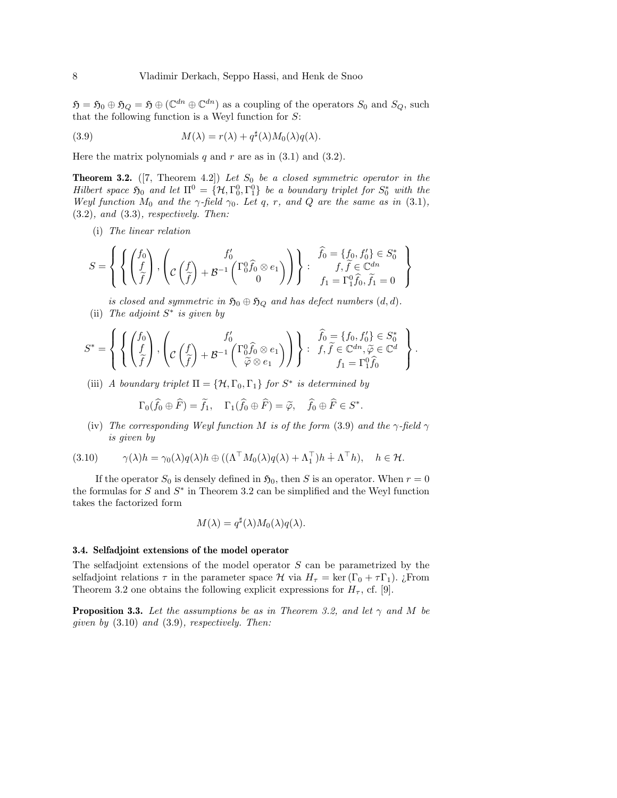$\mathfrak{H} = \mathfrak{H}_0 \oplus \mathfrak{H}_Q = \mathfrak{H} \oplus (\mathbb{C}^{dn} \oplus \mathbb{C}^{dn})$  as a coupling of the operators  $S_0$  and  $S_Q$ , such that the following function is a Weyl function for  $S$ :

(3.9) 
$$
M(\lambda) = r(\lambda) + q^{\sharp}(\lambda)M_0(\lambda)q(\lambda).
$$

Here the matrix polynomials q and r are as in  $(3.1)$  and  $(3.2)$ .

**Theorem 3.2.** ([7, Theorem 4.2]) Let  $S_0$  be a closed symmetric operator in the Hilbert space  $\mathfrak{H}_0$  and let  $\Pi^0 = {\mathcal{H}, \Gamma_0^0, \Gamma_1^0}$  be a boundary triplet for  $S_0^*$  with the Weyl function  $M_0$  and the  $\gamma$ -field  $\gamma_0$ . Let q, r, and Q are the same as in (3.1),  $(3.2)$ , and  $(3.3)$ , respectively. Then:

(i) The linear relation

$$
S = \left\{ \left\{ \begin{pmatrix} f_0 \\ f \\ \tilde{f} \end{pmatrix}, \begin{pmatrix} f'_0 \\ c \begin{pmatrix} f \\ \tilde{f} \end{pmatrix} + \mathcal{B}^{-1} \begin{pmatrix} \Gamma_0^0 \hat{f}_0 \otimes e_1 \\ 0 \end{pmatrix} \right) \right\} : \begin{pmatrix} \hat{f}_0 = \{f_0, f'_0\} \in S_0^* \\ f_1 \tilde{f} \in \mathbb{C}^{dn} \\ f_1 = \Gamma_1^0 \hat{f}_0, \tilde{f}_1 = 0 \end{pmatrix} \right\}
$$

is closed and symmetric in  $\mathfrak{H}_0 \oplus \mathfrak{H}_Q$  and has defect numbers  $(d, d)$ . (ii) The adjoint  $S^*$  is given by

$$
S^* = \left\{ \left\{ \begin{pmatrix} f_0 \\ f \\ \tilde{f} \end{pmatrix}, \begin{pmatrix} f'_0 \\ c \begin{pmatrix} f \\ \tilde{f} \end{pmatrix} + \mathcal{B}^{-1} \begin{pmatrix} \Gamma_0^0 \hat{f}_0 \otimes e_1 \\ \tilde{\varphi} \otimes e_1 \end{pmatrix} \right) \right\} : \begin{pmatrix} \hat{f}_0 = \{f_0, f'_0\} \in S_0^* \\ f, \tilde{f} \in \mathbb{C}^{dn}, \tilde{\varphi} \in \mathbb{C}^d \\ f_1 = \Gamma_1^0 \hat{f}_0 \end{pmatrix}.
$$

(iii) A boundary triplet  $\Pi = \{ \mathcal{H}, \Gamma_0, \Gamma_1 \}$  for  $S^*$  is determined by

$$
\Gamma_0(\widehat{f}_0 \oplus \widehat{F}) = \widetilde{f}_1, \quad \Gamma_1(\widehat{f}_0 \oplus \widehat{F}) = \widetilde{\varphi}, \quad \widehat{f}_0 \oplus \widehat{F} \in S^*.
$$

(iv) The corresponding Weyl function M is of the form (3.9) and the  $\gamma$ -field  $\gamma$ is given by

(3.10) 
$$
\gamma(\lambda)h = \gamma_0(\lambda)q(\lambda)h \oplus ((\Lambda^\top M_0(\lambda)q(\lambda) + \Lambda_1^\top)h + \Lambda^\top h), \quad h \in \mathcal{H}.
$$

If the operator  $S_0$  is densely defined in  $\mathfrak{H}_0$ , then S is an operator. When  $r = 0$ the formulas for  $S$  and  $S^*$  in Theorem 3.2 can be simplified and the Weyl function takes the factorized form

$$
M(\lambda) = q^{\sharp}(\lambda) M_0(\lambda) q(\lambda).
$$

#### 3.4. Selfadjoint extensions of the model operator

The selfadjoint extensions of the model operator S can be parametrized by the selfadjoint relations  $\tau$  in the parameter space H via  $H_{\tau} = \ker (\Gamma_0 + \tau \Gamma_1)$ . *i*From Theorem 3.2 one obtains the following explicit expressions for  $H_{\tau}$ , cf. [9].

**Proposition 3.3.** Let the assumptions be as in Theorem 3.2, and let  $\gamma$  and M be given by  $(3.10)$  and  $(3.9)$ , respectively. Then: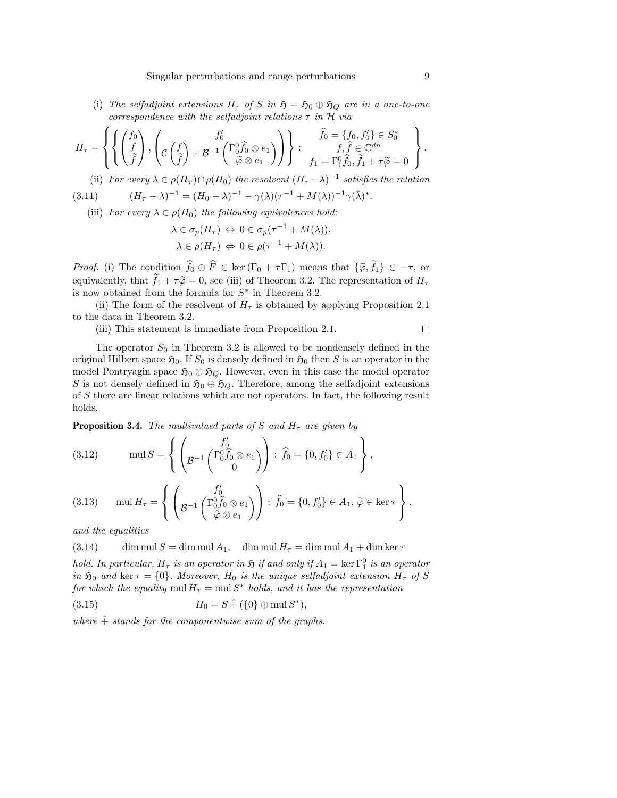(i) The selfadjoint extensions  $H_{\tau}$  of S in  $\mathfrak{H} = \mathfrak{H}_0 \oplus \mathfrak{H}_Q$  are in a one-to-one correspondence with the selfadjoint relations  $\tau$  in  $\mathcal H$  via

$$
H_{\tau} = \left\{ \left\{ \begin{pmatrix} f_0 \\ f \\ \tilde{f} \end{pmatrix}, \begin{pmatrix} f'_0 \\ c \left( \tilde{f} \right) + \mathcal{B}^{-1} \begin{pmatrix} \Gamma_0^0 \hat{f}_0 \otimes e_1 \\ \tilde{\varphi} \otimes e_1 \end{pmatrix} \end{pmatrix} \right\} : \begin{pmatrix} \widehat{f}_0 = \{f_0, f'_0\} \in S_0^* \\ f, \widetilde{f} \in \mathbb{C}^{dn} \\ f_1 = \Gamma_1^0 \widehat{f}_0, \widetilde{f}_1 + \tau \widetilde{\varphi} = 0 \end{pmatrix} \right\}
$$

(ii) For every  $\lambda \in \rho(H_{\tau}) \cap \rho(H_0)$  the resolvent  $(H_{\tau} - \lambda)^{-1}$  satisfies the relation

(3.11) 
$$
(H_{\tau} - \lambda)^{-1} = (H_0 - \lambda)^{-1} - \gamma(\lambda)(\tau^{-1} + M(\lambda))^{-1}\gamma(\bar{\lambda})
$$

(iii) For every  $\lambda \in \rho(H_0)$  the following equivalences hold:

$$
\lambda \in \sigma_p(H_\tau) \Leftrightarrow 0 \in \sigma_p(\tau^{-1} + M(\lambda)),
$$
  

$$
\lambda \in \rho(H_\tau) \Leftrightarrow 0 \in \rho(\tau^{-1} + M(\lambda)).
$$

*Proof.* (i) The condition  $\hat{f}_0 \oplus \hat{F} \in \text{ker}(\Gamma_0 + \tau \Gamma_1)$  means that  $\{\tilde{\varphi}, \tilde{f}_1\} \in -\tau$ , or equivalently, that  $\tilde{f}_1 + \tau \tilde{\varphi} = 0$ , see (iii) of Theorem 3.2. The representation of  $H_{\tau}$ is now obtained from the formula for  $S^*$  in Theorem 3.2.

(ii) The form of the resolvent of  $H<sub>\tau</sub>$  is obtained by applying Proposition 2.1 to the data in Theorem 3.2.

(iii) This statement is immediate from Proposition 2.1.

The operator  $S_0$  in Theorem 3.2 is allowed to be nondensely defined in the original Hilbert space  $\mathfrak{H}_0$ . If  $S_0$  is densely defined in  $\mathfrak{H}_0$  then S is an operator in the model Pontryagin space  $\mathfrak{H}_0 \oplus \mathfrak{H}_\mathcal{O}$ . However, even in this case the model operator S is not densely defined in  $\mathfrak{H}_0 \oplus \mathfrak{H}_Q$ . Therefore, among the selfadjoint extensions of S there are linear relations which are not operators. In fact, the following result holds.

**Proposition 3.4.** The multivalued parts of S and  $H<sub>\tau</sub>$  are given by

(3.12) 
$$
\text{mul } S = \left\{ \left( g^{-1} \begin{pmatrix} f_0' \\ \beta \widehat{f}_0 \otimes e_1 \\ 0 \end{pmatrix} \right) : \widehat{f}_0 = \{0, f_0'\} \in A_1 \right\},
$$

(3.13) 
$$
\operatorname{mul} H_{\tau} = \left\{ \left( \mathcal{B}^{-1} \begin{pmatrix} f_0' \\ \mathcal{B}^{-1} \begin{pmatrix} \Gamma_0^0 \widehat{f}_0 \otimes e_1 \\ \widetilde{\varphi} \otimes e_1 \end{pmatrix} \end{pmatrix} : \widehat{f}_0 = \{0, f_0'\} \in A_1, \, \widetilde{\varphi} \in \ker \tau \right\}.
$$

and the equalities

(3.14) dim mul  $S = \dim \text{mul } A_1$ , dim mul  $H_{\tau} = \dim \text{mul } A_1 + \dim \text{ker } \tau$ 

hold. In particular,  $H_{\tau}$  is an operator in  $\mathfrak H$  if and only if  $A_1 = \ker \Gamma_1^0$  is an operator in  $\mathfrak{H}_0$  and ker  $\tau = \{0\}$ . Moreover,  $H_0$  is the unique selfadjoint extension  $H_{\tau}$  of S for which the equality  $\text{mul } H_{\tau} = \text{mul } S^*$  holds, and it has the representation

(3.15) H<sup>0</sup> = S + ( ˆ {0} ⊕ mul S ∗ ),

where  $\hat{+}$  stands for the componentwise sum of the graphs.

.

 $\Box$ 

∗ .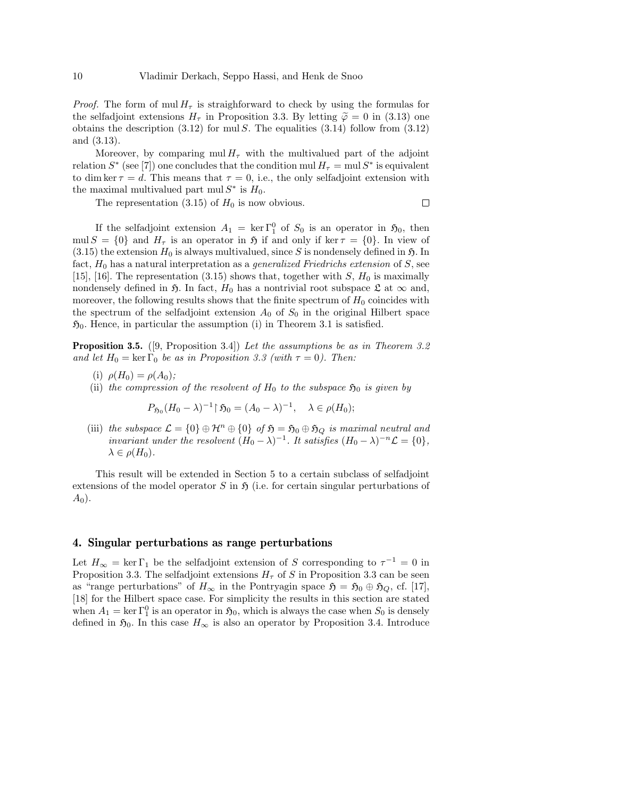*Proof.* The form of mul  $H<sub>\tau</sub>$  is straighforward to check by using the formulas for the selfadjoint extensions  $H_{\tau}$  in Proposition 3.3. By letting  $\tilde{\varphi} = 0$  in (3.13) one obtains the description  $(3.12)$  for mul S. The equalities  $(3.14)$  follow from  $(3.12)$ and (3.13).

Moreover, by comparing  $\text{mul } H_{\tau}$  with the multivalued part of the adjoint relation  $S^*$  (see [7]) one concludes that the condition mul  $H_\tau = \text{mul } S^*$  is equivalent to dim ker  $\tau = d$ . This means that  $\tau = 0$ , i.e., the only selfadjoint extension with the maximal multivalued part mul $S^*$  is  $H_0$ .

The representation  $(3.15)$  of  $H_0$  is now obvious.

 $\Box$ 

If the selfadjoint extension  $A_1 = \ker \Gamma_1^0$  of  $S_0$  is an operator in  $\mathfrak{H}_0$ , then mul  $S = \{0\}$  and  $H_{\tau}$  is an operator in  $\mathfrak{H}$  if and only if ker  $\tau = \{0\}$ . In view of  $(3.15)$  the extension  $H_0$  is always multivalued, since S is nondensely defined in  $\mathfrak{H}$ . In fact,  $H_0$  has a natural interpretation as a *generalized Friedrichs extension* of  $S$ , see [15], [16]. The representation (3.15) shows that, together with  $S$ ,  $H_0$  is maximally nondensely defined in 5. In fact,  $H_0$  has a nontrivial root subspace  $\mathfrak L$  at  $\infty$  and, moreover, the following results shows that the finite spectrum of  $H_0$  coincides with the spectrum of the selfadjoint extension  $A_0$  of  $S_0$  in the original Hilbert space  $\mathfrak{H}_0$ . Hence, in particular the assumption (i) in Theorem 3.1 is satisfied.

**Proposition 3.5.** ([9, Proposition 3.4]) Let the assumptions be as in Theorem 3.2 and let  $H_0 = \ker \Gamma_0$  be as in Proposition 3.3 (with  $\tau = 0$ ). Then:

- (i)  $\rho(H_0) = \rho(A_0)$ ;
- (ii) the compression of the resolvent of  $H_0$  to the subspace  $\mathfrak{H}_0$  is given by

 $P_{\mathfrak{H}_0}(H_0 - \lambda)^{-1} \upharpoonright \mathfrak{H}_0 = (A_0 - \lambda)^{-1}, \quad \lambda \in \rho(H_0);$ 

(iii) the subspace  $\mathcal{L} = \{0\} \oplus \mathcal{H}^n \oplus \{0\}$  of  $\mathfrak{H} = \mathfrak{H}_0 \oplus \mathfrak{H}_Q$  is maximal neutral and invariant under the resolvent  $(H_0 - \lambda)^{-1}$ . It satisfies  $(H_0 - \lambda)^{-n} \mathcal{L} = \{0\},\$  $\lambda \in \rho(H_0)$ .

This result will be extended in Section 5 to a certain subclass of selfadjoint extensions of the model operator S in  $\mathfrak{H}$  (i.e. for certain singular perturbations of  $A_0$ ).

#### 4. Singular perturbations as range perturbations

Let  $H_{\infty} = \ker \Gamma_1$  be the selfadjoint extension of S corresponding to  $\tau^{-1} = 0$  in Proposition 3.3. The selfadjoint extensions  $H_{\tau}$  of S in Proposition 3.3 can be seen as "range perturbations" of  $H_{\infty}$  in the Pontryagin space  $\mathfrak{H} = \mathfrak{H}_0 \oplus \mathfrak{H}_Q$ , cf. [17], [18] for the Hilbert space case. For simplicity the results in this section are stated when  $A_1 = \ker \Gamma_1^0$  is an operator in  $\mathfrak{H}_0$ , which is always the case when  $S_0$  is densely defined in  $\mathfrak{H}_0$ . In this case  $H_{\infty}$  is also an operator by Proposition 3.4. Introduce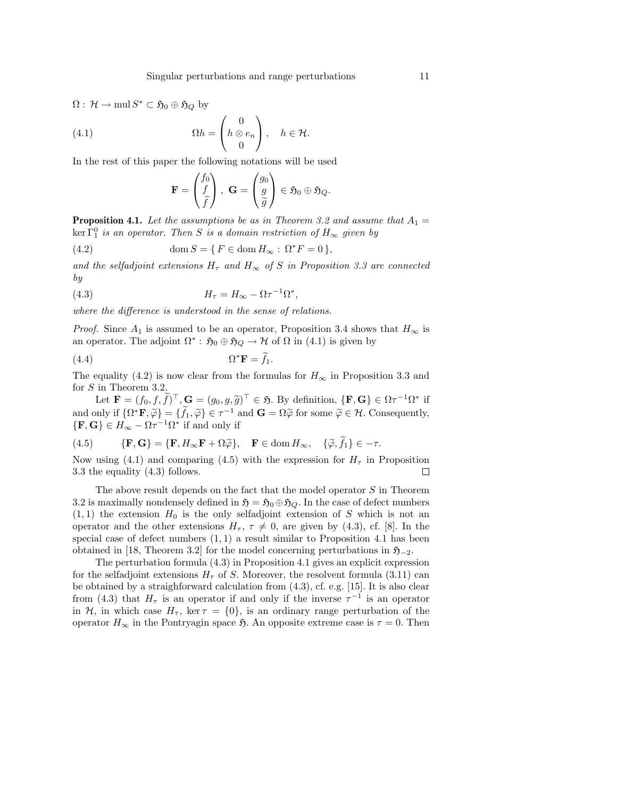$\Omega: \mathcal{H} \to \text{mul } S^* \subset \mathfrak{H}_0 \oplus \mathfrak{H}_Q$  by

(4.1) 
$$
\Omega h = \begin{pmatrix} 0 \\ h \otimes e_n \\ 0 \end{pmatrix}, \quad h \in \mathcal{H}.
$$

In the rest of this paper the following notations will be used

$$
\mathbf{F} = \begin{pmatrix} f_0 \\ f \\ \widetilde{f} \end{pmatrix}, \ \mathbf{G} = \begin{pmatrix} g_0 \\ g \\ \widetilde{g} \end{pmatrix} \in \mathfrak{H}_0 \oplus \mathfrak{H}_Q.
$$

**Proposition 4.1.** Let the assumptions be as in Theorem 3.2 and assume that  $A_1 =$  $\ker\Gamma_1^0$  is an operator. Then S is a domain restriction of  $H_\infty$  given by

(4.2) 
$$
\operatorname{dom} S = \{ F \in \operatorname{dom} H_{\infty} : \Omega^* F = 0 \},
$$

and the selfadjoint extensions  $H_{\tau}$  and  $H_{\infty}$  of S in Proposition 3.3 are connected by

(4.3) 
$$
H_{\tau} = H_{\infty} - \Omega \tau^{-1} \Omega^*,
$$

where the difference is understood in the sense of relations.

*Proof.* Since  $A_1$  is assumed to be an operator, Proposition 3.4 shows that  $H_{\infty}$  is an operator. The adjoint  $\Omega^*$ :  $\mathfrak{H}_0 \oplus \mathfrak{H}_Q \to \mathcal{H}$  of  $\Omega$  in (4.1) is given by

(4.4) 
$$
\Omega^* \mathbf{F} = \tilde{f}_1.
$$

The equality (4.2) is now clear from the formulas for  $H_{\infty}$  in Proposition 3.3 and for S in Theorem 3.2.

Let  $\mathbf{F} = (f_0, f, \tilde{f})^\top, \mathbf{G} = (g_0, g, \tilde{g})^\top \in \mathfrak{H}$ . By definition,  $\{\mathbf{F}, \mathbf{G}\} \in \Omega \tau^{-1} \Omega^*$  if and only if  $\{\Omega^* \mathbf{F}, \widetilde{\varphi}\} = \{\widetilde{f}_1, \widetilde{\varphi}\} \in \tau^{-1}$  and  $\mathbf{G} = \Omega \widetilde{\varphi}$  for some  $\widetilde{\varphi} \in \mathcal{H}$ . Consequently,  $\{F, G\} \in H_{\infty} - \Omega \tau^{-1} \Omega^*$  if and only if

(4.5) 
$$
\{ \mathbf{F}, \mathbf{G} \} = \{ \mathbf{F}, H_{\infty} \mathbf{F} + \Omega \widetilde{\varphi} \}, \quad \mathbf{F} \in \text{dom } H_{\infty}, \quad \{ \widetilde{\varphi}, \widetilde{f}_1 \} \in -\tau.
$$

Now using (4.1) and comparing (4.5) with the expression for  $H_{\tau}$  in Proposition 3.3 the equality (4.3) follows.  $\Box$ 

The above result depends on the fact that the model operator S in Theorem 3.2 is maximally nondensely defined in  $\mathfrak{H} = \mathfrak{H}_0 \oplus \mathfrak{H}_Q$ . In the case of defect numbers  $(1, 1)$  the extension  $H_0$  is the only selfadjoint extension of S which is not an operator and the other extensions  $H_{\tau}$ ,  $\tau \neq 0$ , are given by (4.3), cf. [8]. In the special case of defect numbers  $(1, 1)$  a result similar to Proposition 4.1 has been obtained in [18, Theorem 3.2] for the model concerning perturbations in  $\mathfrak{H}_{-2}$ .

The perturbation formula (4.3) in Proposition 4.1 gives an explicit expression for the selfadjoint extensions  $H_{\tau}$  of S. Moreover, the resolvent formula (3.11) can be obtained by a straighforward calculation from (4.3), cf. e.g. [15]. It is also clear from (4.3) that  $H_{\tau}$  is an operator if and only if the inverse  $\tau^{-1}$  is an operator in H, in which case  $H_{\tau}$ , ker  $\tau = \{0\}$ , is an ordinary range perturbation of the operator  $H_{\infty}$  in the Pontryagin space 5. An opposite extreme case is  $\tau = 0$ . Then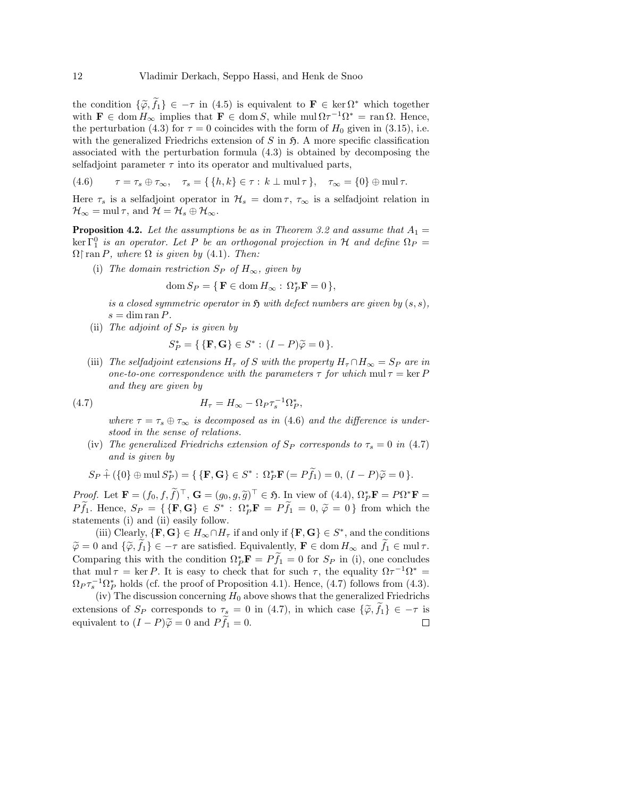the condition  $\{\tilde{\varphi}, f_1\} \in -\tau$  in (4.5) is equivalent to  $\mathbf{F} \in \ker \Omega^*$  which together with  $\mathbf{F} \in \text{dom } H_{\infty}$  implies that  $\mathbf{F} \in \text{dom } S$ , while  $\text{mul } \Omega \tau^{-1} \Omega^* = \text{ran } \Omega$ . Hence, the perturbation (4.3) for  $\tau = 0$  coincides with the form of  $H_0$  given in (3.15), i.e. with the generalized Friedrichs extension of  $S$  in  $\mathfrak{H}$ . A more specific classification associated with the perturbation formula (4.3) is obtained by decomposing the selfadjoint parameter  $\tau$  into its operator and multivalued parts,

$$
(4.6) \qquad \tau = \tau_s \oplus \tau_\infty, \quad \tau_s = \{ \{h, k\} \in \tau : k \perp \text{mul } \tau \}, \quad \tau_\infty = \{0\} \oplus \text{mul } \tau.
$$

Here  $\tau_s$  is a selfadjoint operator in  $\mathcal{H}_s = \text{dom}\,\tau, \tau_\infty$  is a selfadjoint relation in  $\mathcal{H}_{\infty} = \text{mul}\,\tau$ , and  $\mathcal{H} = \mathcal{H}_s \oplus \mathcal{H}_{\infty}$ .

**Proposition 4.2.** Let the assumptions be as in Theorem 3.2 and assume that  $A_1 =$  $\ker \Gamma_1^0$  is an operator. Let P be an orthogonal projection in H and define  $\Omega_P =$  $\Omega$  ran P, where  $\Omega$  is given by (4.1). Then:

(i) The domain restriction  $S_P$  of  $H_{\infty}$ , given by

$$
\operatorname{dom} S_P = \{ \, \mathbf{F} \in \operatorname{dom} H_\infty : \, \Omega_P^* \mathbf{F} = 0 \, \},
$$

is a closed symmetric operator in  $\mathfrak H$  with defect numbers are given by  $(s, s)$ ,  $s = \dim \operatorname{ran} P$ .

(ii) The adjoint of  $S_P$  is given by

$$
S_P^* = \{ \{ \mathbf{F}, \mathbf{G} \} \in S^* : (I - P)\widetilde{\varphi} = 0 \}.
$$

(iii) The selfadjoint extensions  $H_{\tau}$  of S with the property  $H_{\tau} \cap H_{\infty} = S_P$  are in one-to-one correspondence with the parameters  $\tau$  for which mul  $\tau = \ker P$ and they are given by

(4.7) 
$$
H_{\tau} = H_{\infty} - \Omega_P \tau_s^{-1} \Omega_P^*,
$$

where  $\tau = \tau_s \oplus \tau_\infty$  is decomposed as in (4.6) and the difference is understood in the sense of relations.

(iv) The generalized Friedrichs extension of  $S_P$  corresponds to  $\tau_s = 0$  in (4.7) and is given by

$$
S_P \hat{+} (\{0\} \oplus \text{mul } S_P^*) = \{ \{ \mathbf{F}, \mathbf{G} \} \in S^* : \Omega_P^* \mathbf{F} (= P\widetilde{f}_1) = 0, (I - P)\widetilde{\varphi} = 0 \}.
$$

Proof. Let  $\mathbf{F} = (f_0, f, \tilde{f})^\top$ ,  $\mathbf{G} = (g_0, g, \tilde{g})^\top \in \mathfrak{H}$ . In view of (4.4),  $\Omega_F^* \mathbf{F} = P\Omega^* \mathbf{F} = P\tilde{g}$ .  $P\tilde{f}_1$ . Hence,  $S_P = \{ \{ \mathbf{F}, \mathbf{G} \} \in S^* : \Omega_P^* \mathbf{F} = P\tilde{f}_1 = 0, \tilde{\varphi} = 0 \}$  from which the statements (i) and (ii) easily follow.

(iii) Clearly,  $\{F, G\} \in H_\infty \cap H_\tau$  if and only if  $\{F, G\} \in S^*$ , and the conditions  $\widetilde{\varphi} = 0$  and  $\{\widetilde{\varphi}, f_1\} \in -\tau$  are satisfied. Equivalently,  $\mathbf{F} \in \text{dom } H_{\infty}$  and  $f_1 \in \text{mul } \tau$ . Comparing this with the condition  $\Omega_P^* \mathbf{F} = P \widetilde{f}_1 = 0$  for  $S_P$  in (i), one concludes that mul  $\tau = \ker P$ . It is easy to check that for such  $\tau$ , the equality  $\Omega \tau^{-1} \Omega^* =$  $\Omega_P \tau_s^{-1} \Omega_P^*$  holds (cf. the proof of Proposition 4.1). Hence, (4.7) follows from (4.3).

(iv) The discussion concerning  $H_0$  above shows that the generalized Friedrichs extensions of  $S_P$  corresponds to  $\tau_s = 0$  in (4.7), in which case  $\{\tilde{\varphi}, f_1\} \in -\tau$  is equivalent to  $(I - P)\tilde{\varphi} = 0$  and  $P\tilde{f}_1 = 0$ . equivalent to  $(I - P)\tilde{\varphi} = 0$  and  $P\tilde{f}_1 = 0$ .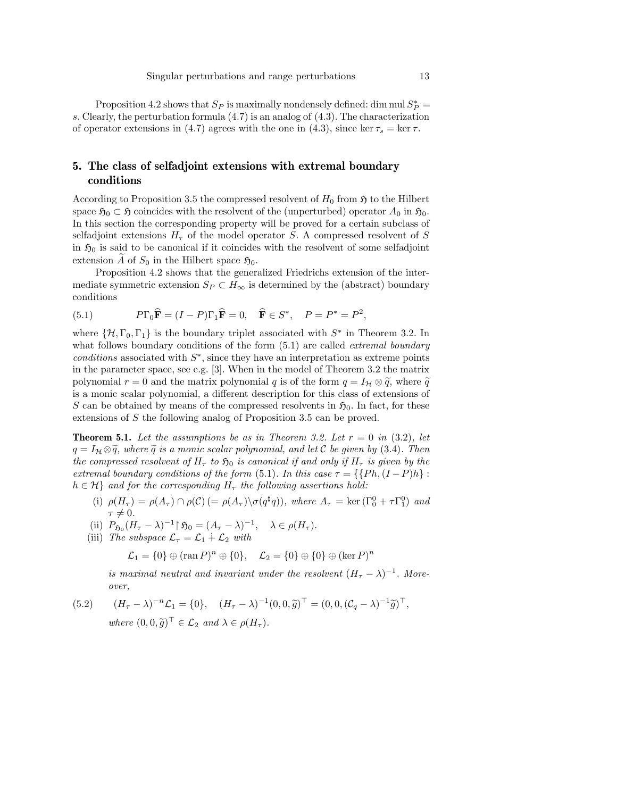Proposition 4.2 shows that  $S_P$  is maximally nondensely defined: dim mul  $S_P^*$  = s. Clearly, the perturbation formula (4.7) is an analog of (4.3). The characterization of operator extensions in (4.7) agrees with the one in (4.3), since ker  $\tau_s = \ker \tau$ .

### 5. The class of selfadjoint extensions with extremal boundary conditions

According to Proposition 3.5 the compressed resolvent of  $H_0$  from  $\mathfrak{H}$  to the Hilbert space  $\mathfrak{H}_0 \subset \mathfrak{H}$  coincides with the resolvent of the (unperturbed) operator  $A_0$  in  $\mathfrak{H}_0$ . In this section the corresponding property will be proved for a certain subclass of selfadjoint extensions  $H<sub>\tau</sub>$  of the model operator S. A compressed resolvent of S in  $\mathfrak{H}_0$  is said to be canonical if it coincides with the resolvent of some selfadjoint extension A of  $S_0$  in the Hilbert space  $\mathfrak{H}_0$ .

Proposition 4.2 shows that the generalized Friedrichs extension of the intermediate symmetric extension  $S_P \subset H_\infty$  is determined by the (abstract) boundary conditions

(5.1) 
$$
P\Gamma_0 \widehat{\mathbf{F}} = (I - P)\Gamma_1 \widehat{\mathbf{F}} = 0, \quad \widehat{\mathbf{F}} \in S^*, \quad P = P^* = P^2,
$$

where  $\{\mathcal{H}, \Gamma_0, \Gamma_1\}$  is the boundary triplet associated with  $S^*$  in Theorem 3.2. In what follows boundary conditions of the form  $(5.1)$  are called *extremal boundary*  $conditions$  associated with  $S^*$ , since they have an interpretation as extreme points in the parameter space, see e.g. [3]. When in the model of Theorem 3.2 the matrix polynomial  $r = 0$  and the matrix polynomial q is of the form  $q = I_H \otimes \tilde{q}$ , where  $\tilde{q}$ is a monic scalar polynomial, a different description for this class of extensions of S can be obtained by means of the compressed resolvents in  $\mathfrak{H}_0$ . In fact, for these extensions of S the following analog of Proposition 3.5 can be proved.

**Theorem 5.1.** Let the assumptions be as in Theorem 3.2. Let  $r = 0$  in (3.2), let  $q = I_H \otimes \widetilde{q}$ , where  $\widetilde{q}$  is a monic scalar polynomial, and let C be given by (3.4). Then the compressed resolvent of  $H_{\tau}$  to  $\mathfrak{H}_0$  is canonical if and only if  $H_{\tau}$  is given by the extremal boundary conditions of the form (5.1). In this case  $\tau = \{ \{Ph, (I - P)h \} :$  $h \in \mathcal{H}$  and for the corresponding  $H_{\tau}$  the following assertions hold:

- (i)  $\rho(H_{\tau}) = \rho(A_{\tau}) \cap \rho(C)$  (=  $\rho(A_{\tau}) \setminus \sigma(q^{\sharp}q)$ ), where  $A_{\tau} = \text{ker}(\Gamma_0^0 + \tau \Gamma_1^0)$  and  $\tau \neq 0.$
- (ii)  $P_{\mathfrak{H}_0}(H_\tau \lambda)^{-1} \upharpoonright \mathfrak{H}_0 = (A_\tau \lambda)^{-1}, \quad \lambda \in \rho(H_\tau).$
- (iii) The subspace  $\mathcal{L}_{\tau} = \mathcal{L}_1 \dotplus \mathcal{L}_2$  with

$$
\mathcal{L}_1 = \{0\} \oplus (\operatorname{ran} P)^n \oplus \{0\}, \quad \mathcal{L}_2 = \{0\} \oplus \{0\} \oplus (\ker P)^n
$$

is maximal neutral and invariant under the resolvent  $(H_{\tau} - \lambda)^{-1}$ . Moreover,

(5.2) 
$$
(H_{\tau} - \lambda)^{-n} \mathcal{L}_1 = \{0\}, \quad (H_{\tau} - \lambda)^{-1} (0, 0, \widetilde{g})^{\top} = (0, 0, (\mathcal{C}_q - \lambda)^{-1} \widetilde{g})^{\top},
$$
  
where  $(0, 0, \widetilde{g})^{\top} \in \mathcal{L}_2$  and  $\lambda \in \rho(H_{\tau}).$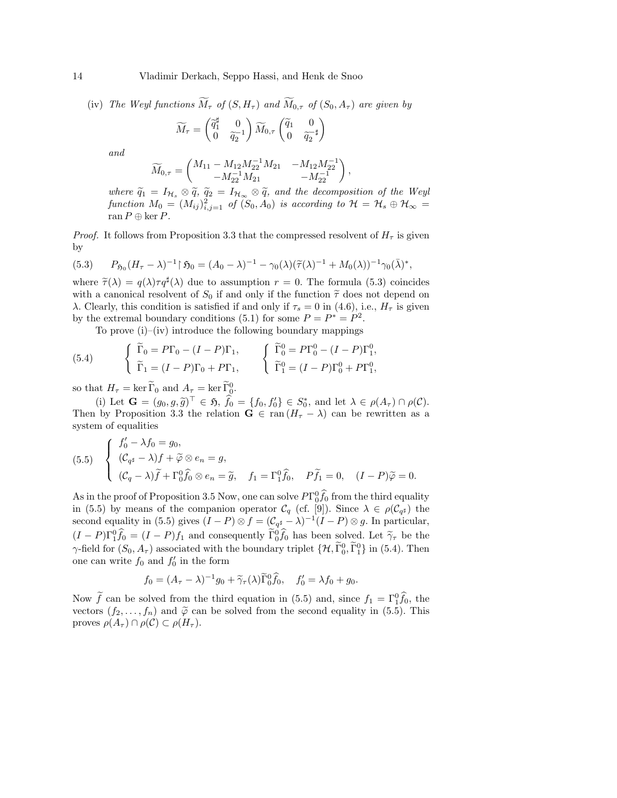14 Vladimir Derkach, Seppo Hassi, and Henk de Snoo

(iv) The Weyl functions  $\widetilde{M}_{\tau}$  of  $(S, H_{\tau})$  and  $\widetilde{M}_{0,\tau}$  of  $(S_0, A_{\tau})$  are given by

$$
\widetilde{M}_{\tau} = \begin{pmatrix} \widetilde{q}_1^{\sharp} & 0 \\ 0 & \widetilde{q}_2^{-1} \end{pmatrix} \widetilde{M}_{0,\tau} \begin{pmatrix} \widetilde{q}_1 & 0 \\ 0 & \widetilde{q}_2^{-\sharp} \end{pmatrix}
$$

and

$$
\widetilde{M}_{0,\tau} = \begin{pmatrix} M_{11} - M_{12} M_{22}^{-1} M_{21} & -M_{12} M_{22}^{-1} \\ -M_{22}^{-1} M_{21} & -M_{22}^{-1} \end{pmatrix},
$$

where  $\tilde{q}_1 = I_{\mathcal{H}_s} \otimes \tilde{q}$ ,  $\tilde{q}_2 = I_{\mathcal{H}_{\infty}} \otimes \tilde{q}$ , and the decomposition of the Weyl function  $M_0 = (M_{ij})_{i,j=1}^2$  of  $(S_0, A_0)$  is according to  $\mathcal{H} = \mathcal{H}_s \oplus \mathcal{H}_{\infty} =$ ran  $P \oplus \ker P$ .

*Proof.* It follows from Proposition 3.3 that the compressed resolvent of  $H<sub>\tau</sub>$  is given by

(5.3) 
$$
P_{\mathfrak{H}_0}(H_{\tau} - \lambda)^{-1} \upharpoonright \mathfrak{H}_0 = (A_0 - \lambda)^{-1} - \gamma_0(\lambda)(\widetilde{\tau}(\lambda)^{-1} + M_0(\lambda))^{-1} \gamma_0(\bar{\lambda})^*,
$$

where  $\widetilde{\tau}(\lambda) = q(\lambda)\tau q^{\sharp}(\lambda)$  due to assumption  $r = 0$ . The formula (5.3) coincides with a canonical resolvent of  $S_0$  if and only if the function  $\tilde{\tau}$  does not depend on λ. Clearly, this condition is satisfied if and only if  $\tau_s = 0$  in (4.6), i.e.,  $H_\tau$  is given by the extremal boundary conditions (5.1) for some  $P = P^* = P^2$ .

To prove (i)–(iv) introduce the following boundary mappings

(5.4) 
$$
\begin{cases} \widetilde{\Gamma}_0 = P\Gamma_0 - (I - P)\Gamma_1, \\ \widetilde{\Gamma}_1 = (I - P)\Gamma_0 + P\Gamma_1, \end{cases} \begin{cases} \widetilde{\Gamma}_0^0 = P\Gamma_0^0 - (I - P)\Gamma_1^0, \\ \widetilde{\Gamma}_1^0 = (I - P)\Gamma_0^0 + P\Gamma_1^0, \end{cases}
$$

so that  $H_{\tau} = \ker \widetilde{\Gamma}_0$  and  $A_{\tau} = \ker \widetilde{\Gamma}_0^0$ .

(i) Let  $\mathbf{G} = (g_0, g, \tilde{g})^\top \in \mathfrak{H}, \ \hat{f}_0 = \{f_0, f'_0\} \in S_0^*$ , and let  $\lambda \in \rho(A_\tau) \cap \rho(C)$ .<br>by Proposition 3.3 the relation  $\mathbf{G} \in \text{can}(H - 1)$  can be rewritten as a Then by Proposition 3.3 the relation  $G \in \text{ran}(H_{\tau} - \lambda)$  can be rewritten as a system of equalities

(5.5) 
$$
\begin{cases} f'_0 - \lambda f_0 = g_0, \\ (\mathcal{C}_{q^{\sharp}} - \lambda) f + \widetilde{\varphi} \otimes e_n = g, \\ (\mathcal{C}_q - \lambda) \widetilde{f} + \Gamma_0^0 \widehat{f}_0 \otimes e_n = \widetilde{g}, \quad f_1 = \Gamma_1^0 \widehat{f}_0, \quad P \widetilde{f}_1 = 0, \quad (I - P) \widetilde{\varphi} = 0. \end{cases}
$$

As in the proof of Proposition 3.5 Now, one can solve  $PT_0^0 \hat{f}_0$  from the third equality in (5.5) by means of the companion operator  $\mathcal{C}_q$  (cf. [9]). Since  $\lambda \in \rho(\mathcal{C}_{q^{\sharp}})$  the second equality in (5.5) gives  $(I - P) \otimes f = (\mathcal{C}_{q^{\sharp}} - \lambda)^{-1} (I - P) \otimes g$ . In particular,  $(I - P)\Gamma_1^0 \hat{f}_0 = (I - P)f_1$  and consequently  $\tilde{\Gamma}_0^0 \hat{f}_0$  has been solved. Let  $\tilde{\gamma}_T$  be the  $\gamma$ -field for  $(S_0, A_\tau)$  associated with the boundary triplet  $\{ \mathcal{H}, \widetilde{\Gamma}_0^0, \widetilde{\Gamma}_1^0 \}$  in (5.4). Then one can write  $f_0$  and  $f'_0$  in the form

$$
f_0 = (A_\tau - \lambda)^{-1} g_0 + \widetilde{\gamma}_\tau(\lambda) \widetilde{\Gamma}_0^0 \widehat{f}_0, \quad f'_0 = \lambda f_0 + g_0.
$$

Now  $\tilde{f}$  can be solved from the third equation in (5.5) and, since  $f_1 = \Gamma_1^0 \hat{f}_0$ , the vectors  $(f_2, \ldots, f_n)$  and  $\tilde{\varphi}$  can be solved from the second equality in (5.5). This proves  $\rho(A_\tau) \cap \rho(C) \subset \rho(H_\tau)$ .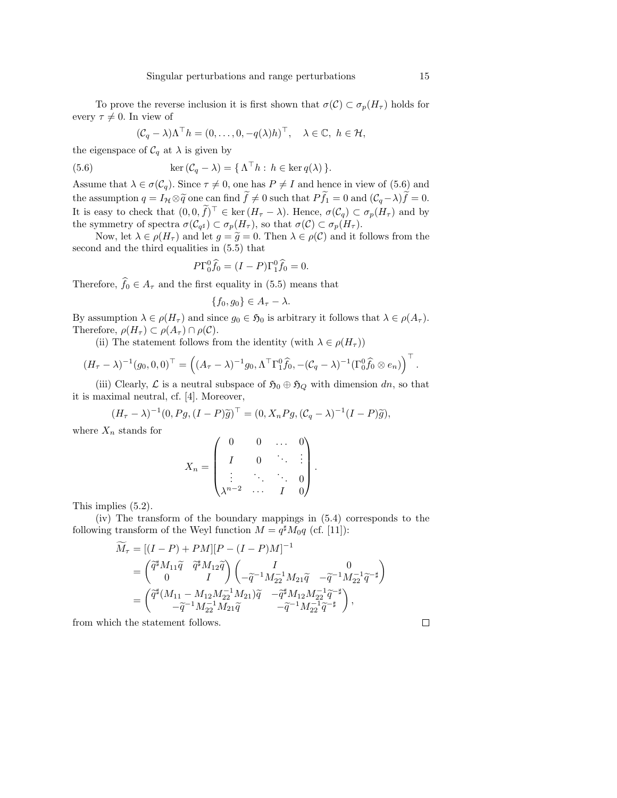To prove the reverse inclusion it is first shown that  $\sigma(\mathcal{C}) \subset \sigma_p(H_\tau)$  holds for every  $\tau \neq 0$ . In view of

$$
(C_q - \lambda)\Lambda^{\top} h = (0, ..., 0, -q(\lambda)h)^{\top}, \quad \lambda \in \mathbb{C}, \ h \in \mathcal{H},
$$

the eigenspace of  $\mathcal{C}_q$  at  $\lambda$  is given by

(5.6) 
$$
\ker (\mathcal{C}_q - \lambda) = {\Lambda^{\top} h : h \in \ker q(\lambda)}.
$$

Assume that  $\lambda \in \sigma(\mathcal{C}_q)$ . Since  $\tau \neq 0$ , one has  $P \neq I$  and hence in view of (5.6) and the assumption  $q = I_{\mathcal{H}} \otimes \tilde{q}$  one can find  $\tilde{f} \neq 0$  such that  $P\tilde{f}_1 = 0$  and  $(\mathcal{C}_q - \lambda)\tilde{f} = 0$ . It is easy to check that  $(0,0,\tilde{f})^{\top} \in \ker(H_{\tau}-\lambda)$ . Hence,  $\sigma(C_q) \subset \sigma_p(H_{\tau})$  and by the symmetry of spectra  $\sigma(C_{q^{\sharp}}) \subset \sigma_p(H_{\tau}),$  so that  $\sigma(C) \subset \sigma_p(H_{\tau}).$ 

Now, let  $\lambda \in \rho(H_{\tau})$  and let  $g = \tilde{g} = 0$ . Then  $\lambda \in \rho(\mathcal{C})$  and it follows from the second and the third equalities in (5.5) that

$$
P\Gamma_0^0\widehat{f}_0 = (I - P)\Gamma_1^0\widehat{f}_0 = 0.
$$

Therefore,  $\widehat{f}_0 \in A_\tau$  and the first equality in (5.5) means that

$$
\{f_0, g_0\} \in A_{\tau} - \lambda.
$$

By assumption  $\lambda \in \rho(H_{\tau})$  and since  $g_0 \in \mathfrak{H}_0$  is arbitrary it follows that  $\lambda \in \rho(A_{\tau})$ . Therefore,  $\rho(H_{\tau}) \subset \rho(A_{\tau}) \cap \rho(C)$ .

(ii) The statement follows from the identity (with  $\lambda \in \rho(H_\tau)$ )

$$
(H_{\tau} - \lambda)^{-1} (g_0, 0, 0)^{\top} = ((A_{\tau} - \lambda)^{-1} g_0, \Lambda^{\top} \Gamma_1^0 \widehat{f}_0, -(C_q - \lambda)^{-1} (\Gamma_0^0 \widehat{f}_0 \otimes e_n))^{\top}.
$$

(iii) Clearly,  $\mathcal L$  is a neutral subspace of  $\mathfrak{H}_0 \oplus \mathfrak{H}_Q$  with dimension dn, so that it is maximal neutral, cf. [4]. Moreover,

$$
(H_{\tau} - \lambda)^{-1} (0, Pg, (I - P)\widetilde{g})^{\top} = (0, X_n Pg, (\mathcal{C}_q - \lambda)^{-1} (I - P)\widetilde{g}),
$$

where  $X_n$  stands for

$$
X_n = \begin{pmatrix} 0 & 0 & \dots & 0 \\ I & 0 & \ddots & \vdots \\ \vdots & \ddots & \ddots & 0 \\ \lambda^{n-2} & \dots & I & 0 \end{pmatrix}.
$$

This implies (5.2).

(iv) The transform of the boundary mappings in (5.4) corresponds to the following transform of the Weyl function  $M = q^{\sharp} M_0 q$  (cf. [11]):

$$
\begin{split} \widetilde{M}_{\tau} & = [(I-P)+PM][P-(I-P)M]^{-1} \\ & = \begin{pmatrix} \widetilde{q}^{\sharp} M_{11} \widetilde{q} & \widetilde{q}^{\sharp} M_{12} \widetilde{q} \\ 0 & I \end{pmatrix} \begin{pmatrix} I & 0 \\ -\widetilde{q}^{-1} M_{22}^{-1} M_{21} \widetilde{q} & -\widetilde{q}^{-1} M_{22}^{-1} \widetilde{q}^{-\sharp} \end{pmatrix} \\ & = \begin{pmatrix} \widetilde{q}^{\sharp}(M_{11}-M_{12}M_{22}^{-1}M_{21}) \widetilde{q} & -\widetilde{q}^{\sharp} M_{12}M_{22}^{-1} \widetilde{q}^{-\sharp} \\ -\widetilde{q}^{-1} M_{22}^{-1} M_{21} \widetilde{q} & -\widetilde{q}^{-1} M_{22}^{-1} \widetilde{q}^{-\sharp} \end{pmatrix}, \end{split}
$$

from which the statement follows.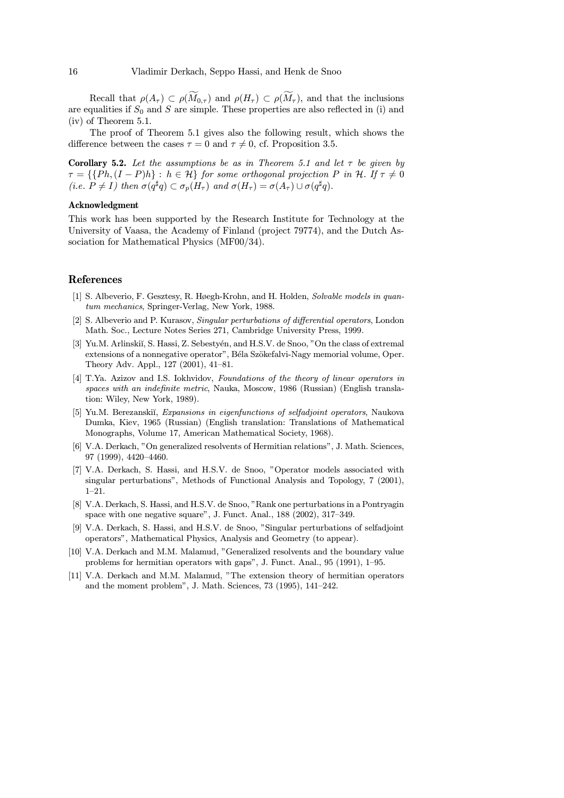Recall that  $\rho(A_{\tau}) \subset \rho(M_{0,\tau})$  and  $\rho(H_{\tau}) \subset \rho(M_{\tau})$ , and that the inclusions are equalities if  $S_0$  and S are simple. These properties are also reflected in (i) and (iv) of Theorem 5.1.

The proof of Theorem 5.1 gives also the following result, which shows the difference between the cases  $\tau = 0$  and  $\tau \neq 0$ , cf. Proposition 3.5.

**Corollary 5.2.** Let the assumptions be as in Theorem 5.1 and let  $\tau$  be given by  $\tau = \{ \{Ph, (I - P)h\} : h \in \mathcal{H} \}$  for some orthogonal projection P in H. If  $\tau \neq 0$ (i.e.  $P \neq I$ ) then  $\sigma(q^{\sharp}q) \subset \sigma_n(H_\tau)$  and  $\sigma(H_\tau) = \sigma(A_\tau) \cup \sigma(q^{\sharp}q)$ .

#### Acknowledgment

This work has been supported by the Research Institute for Technology at the University of Vaasa, the Academy of Finland (project 79774), and the Dutch Association for Mathematical Physics (MF00/34).

#### References

- [1] S. Albeverio, F. Gesztesy, R. Høegh-Krohn, and H. Holden, Solvable models in quantum mechanics, Springer-Verlag, New York, 1988.
- [2] S. Albeverio and P. Kurasov, Singular perturbations of differential operators, London Math. Soc., Lecture Notes Series 271, Cambridge University Press, 1999.
- [3] Yu.M. Arlinskiı̆, S. Hassi, Z. Sebestyén, and H.S.V. de Snoo, "On the class of extremal extensions of a nonnegative operator", Béla Szökefalvi-Nagy memorial volume, Oper. Theory Adv. Appl., 127 (2001), 41—81.
- [4] T.Ya. Azizov and I.S. Iokhvidov, Foundations of the theory of linear operators in spaces with an indefinite metric, Nauka, Moscow, 1986 (Russian) (English translation: Wiley, New York, 1989).
- [5] Yu.M. Berezanskiĭ, *Expansions in eigenfunctions of selfadjoint operators*, Naukova Dumka, Kiev, 1965 (Russian) (English translation: Translations of Mathematical Monographs, Volume 17, American Mathematical Society, 1968).
- [6] V.A. Derkach, "On generalized resolvents of Hermitian relations", J. Math. Sciences, 97 (1999), 4420—4460.
- [7] V.A. Derkach, S. Hassi, and H.S.V. de Snoo, "Operator models associated with singular perturbations", Methods of Functional Analysis and Topology, 7 (2001), 1—21.
- [8] V.A. Derkach, S. Hassi, and H.S.V. de Snoo, "Rank one perturbations in a Pontryagin space with one negative square", J. Funct. Anal., 188 (2002), 317—349.
- [9] V.A. Derkach, S. Hassi, and H.S.V. de Snoo, "Singular perturbations of selfadjoint operators", Mathematical Physics, Analysis and Geometry (to appear).
- [10] V.A. Derkach and M.M. Malamud, "Generalized resolvents and the boundary value problems for hermitian operators with gaps", J. Funct. Anal., 95 (1991), 1—95.
- [11] V.A. Derkach and M.M. Malamud, "The extension theory of hermitian operators and the moment problem", J. Math. Sciences, 73 (1995), 141—242.